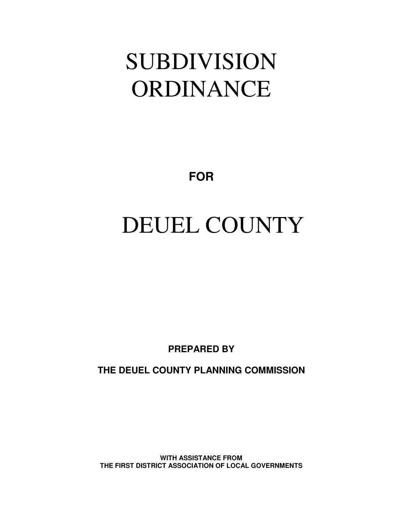## SUBDIVISION ORDINANCE

**FOR**

# DEUEL COUNTY

**PREPARED BY**

**THE DEUEL COUNTY PLANNING COMMISSION**

**WITH ASSISTANCE FROM THE FIRST DISTRICT ASSOCIATION OF LOCAL GOVERNMENTS**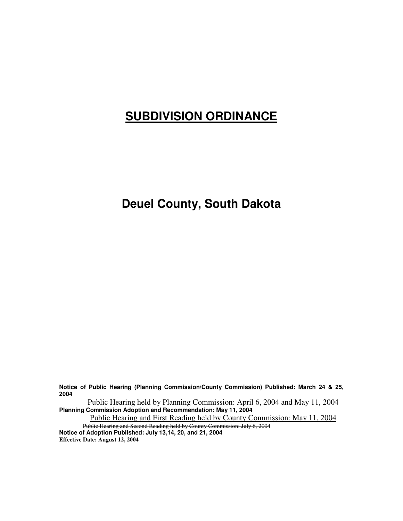### **SUBDIVISION ORDINANCE**

### **Deuel County, South Dakota**

**Notice of Public Hearing (Planning Commission/County Commission) Published: March 24 & 25, 2004**

Public Hearing held by Planning Commission: April 6, 2004 and May 11, 2004 **Planning Commission Adoption and Recommendation: May 11, 2004**

Public Hearing and First Reading held by County Commission: May 11, 2004 Public Hearing and Second Reading held by County Commission: July 6, 2004

**Notice of Adoption Published: July 13,14, 20, and 21, 2004 Effective Date: August 12, 2004**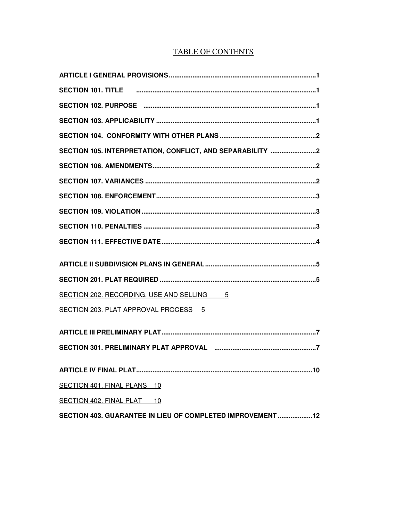#### **TABLE OF CONTENTS**

| SECTION 102. PURPOSE minimuminimuminimuminimuminimuminimuminimuminimumin 1 |
|----------------------------------------------------------------------------|
|                                                                            |
|                                                                            |
| SECTION 105. INTERPRETATION, CONFLICT, AND SEPARABILITY 2                  |
|                                                                            |
|                                                                            |
|                                                                            |
|                                                                            |
|                                                                            |
|                                                                            |
|                                                                            |
|                                                                            |
| SECTION 202. RECORDING, USE AND SELLING 5                                  |
| SECTION 203. PLAT APPROVAL PROCESS 5                                       |
|                                                                            |
| SECTION 301. PRELIMINARY PLAT APPROVAL manufacture manufacture and 7       |
|                                                                            |
| SECTION 401. FINAL PLANS 10                                                |
| SECTION 402. FINAL PLAT 10                                                 |
| SECTION 403. GUARANTEE IN LIEU OF COMPLETED IMPROVEMENT 12                 |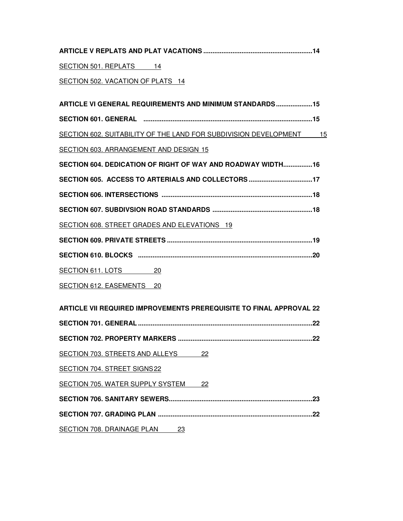| SECTION 501. REPLATS 14                                                    |
|----------------------------------------------------------------------------|
| SECTION 502. VACATION OF PLATS 14                                          |
|                                                                            |
| ARTICLE VI GENERAL REQUIREMENTS AND MINIMUM STANDARDS 15                   |
| SECTION 601. GENERAL minimum minimum minimum minimum minimum minimum 15    |
| SECTION 602. SUITABILITY OF THE LAND FOR SUBDIVISION DEVELOPMENT 15        |
| SECTION 603. ARRANGEMENT AND DESIGN 15                                     |
| SECTION 604, DEDICATION OF RIGHT OF WAY AND ROADWAY WIDTH16                |
| SECTION 605. ACCESS TO ARTERIALS AND COLLECTORS 17                         |
|                                                                            |
|                                                                            |
| SECTION 608. STREET GRADES AND ELEVATIONS 19                               |
|                                                                            |
|                                                                            |
| SECTION 611. LOTS 20                                                       |
| SECTION 612. EASEMENTS 20                                                  |
|                                                                            |
| <b>ARTICLE VII REQUIRED IMPROVEMENTS PREREQUISITE TO FINAL APPROVAL 22</b> |
|                                                                            |
| .22                                                                        |
| SECTION 703. STREETS AND ALLEYS<br>22                                      |
| SECTION 704. STREET SIGNS 22                                               |
| SECTION 705. WATER SUPPLY SYSTEM<br>22                                     |
|                                                                            |

**SECTION 707. GRADING PLAN .....................................................................................22**

SECTION 708. DRAINAGE PLAN 23